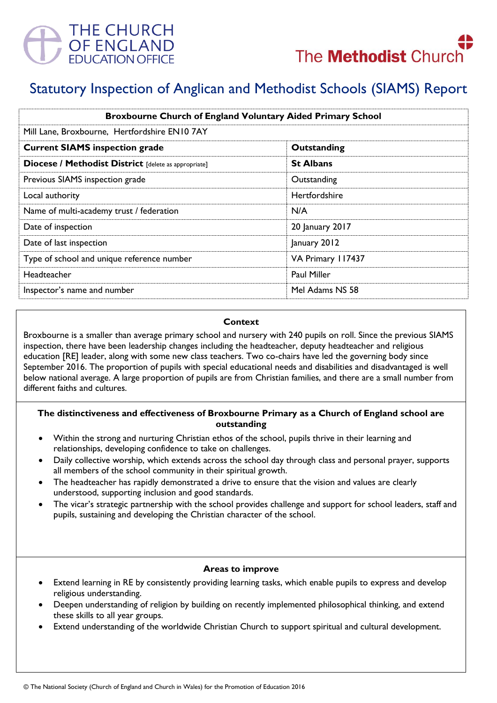



# Statutory Inspection of Anglican and Methodist Schools (SIAMS) Report

| <b>Broxbourne Church of England Voluntary Aided Primary School</b> |                      |
|--------------------------------------------------------------------|----------------------|
| Mill Lane, Broxbourne, Hertfordshire EN10 7AY                      |                      |
| <b>Current SIAMS inspection grade</b>                              | Outstanding          |
| Diocese / Methodist District [delete as appropriate]               | <b>St Albans</b>     |
| Previous SIAMS inspection grade                                    | Outstanding          |
| Local authority                                                    | <b>Hertfordshire</b> |
| Name of multi-academy trust / federation                           | N/A                  |
| Date of inspection                                                 | 20 January 2017      |
| Date of last inspection                                            | January 2012         |
| Type of school and unique reference number                         | VA Primary 117437    |
| Headteacher                                                        | <b>Paul Miller</b>   |
| Inspector's name and number                                        | Mel Adams NS 58      |

#### **Context**

Broxbourne is a smaller than average primary school and nursery with 240 pupils on roll. Since the previous SIAMS inspection, there have been leadership changes including the headteacher, deputy headteacher and religious education [RE] leader, along with some new class teachers. Two co-chairs have led the governing body since September 2016. The proportion of pupils with special educational needs and disabilities and disadvantaged is well below national average. A large proportion of pupils are from Christian families, and there are a small number from different faiths and cultures.

#### **The distinctiveness and effectiveness of Broxbourne Primary as a Church of England school are outstanding**

- Within the strong and nurturing Christian ethos of the school, pupils thrive in their learning and relationships, developing confidence to take on challenges.
- Daily collective worship, which extends across the school day through class and personal prayer, supports all members of the school community in their spiritual growth.
- The headteacher has rapidly demonstrated a drive to ensure that the vision and values are clearly understood, supporting inclusion and good standards.
- The vicar's strategic partnership with the school provides challenge and support for school leaders, staff and pupils, sustaining and developing the Christian character of the school.

#### **Areas to improve**

- Extend learning in RE by consistently providing learning tasks, which enable pupils to express and develop religious understanding.
- Deepen understanding of religion by building on recently implemented philosophical thinking, and extend these skills to all year groups.
- Extend understanding of the worldwide Christian Church to support spiritual and cultural development.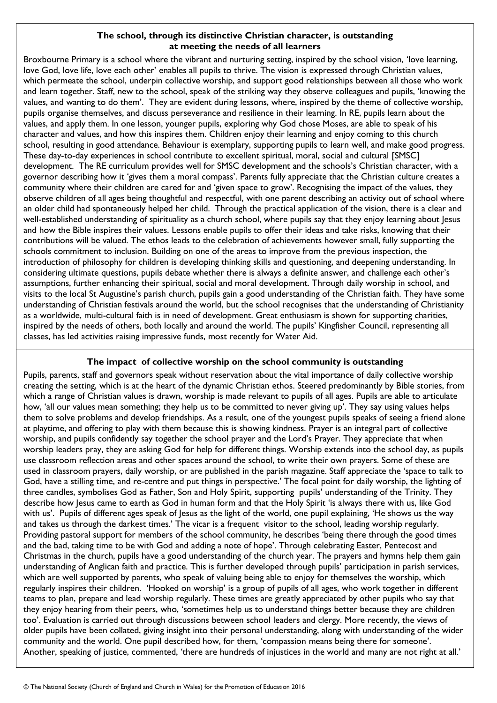# **The school, through its distinctive Christian character, is outstanding at meeting the needs of all learners**

Broxbourne Primary is a school where the vibrant and nurturing setting, inspired by the school vision, 'love learning, love God, love life, love each other' enables all pupils to thrive. The vision is expressed through Christian values, which permeate the school, underpin collective worship, and support good relationships between all those who work and learn together. Staff, new to the school, speak of the striking way they observe colleagues and pupils, 'knowing the values, and wanting to do them'. They are evident during lessons, where, inspired by the theme of collective worship, pupils organise themselves, and discuss perseverance and resilience in their learning. In RE, pupils learn about the values, and apply them. In one lesson, younger pupils, exploring why God chose Moses, are able to speak of his character and values, and how this inspires them. Children enjoy their learning and enjoy coming to this church school, resulting in good attendance. Behaviour is exemplary, supporting pupils to learn well, and make good progress. These day-to-day experiences in school contribute to excellent spiritual, moral, social and cultural [SMSC] development. The RE curriculum provides well for SMSC development and the schools's Christian character, with a governor describing how it 'gives them a moral compass'. Parents fully appreciate that the Christian culture creates a community where their children are cared for and 'given space to grow'. Recognising the impact of the values, they observe children of all ages being thoughtful and respectful, with one parent describing an activity out of school where an older child had spontaneously helped her child. Through the practical application of the vision, there is a clear and well-established understanding of spirituality as a church school, where pupils say that they enjoy learning about Jesus and how the Bible inspires their values. Lessons enable pupils to offer their ideas and take risks, knowing that their contributions will be valued. The ethos leads to the celebration of achievements however small, fully supporting the schools commitment to inclusion. Building on one of the areas to improve from the previous inspection, the introduction of philosophy for children is developing thinking skills and questioning, and deepening understanding. In considering ultimate questions, pupils debate whether there is always a definite answer, and challenge each other's assumptions, further enhancing their spiritual, social and moral development. Through daily worship in school, and visits to the local St Augustine's parish church, pupils gain a good understanding of the Christian faith. They have some understanding of Christian festivals around the world, but the school recognises that the understanding of Christianity as a worldwide, multi-cultural faith is in need of development. Great enthusiasm is shown for supporting charities, inspired by the needs of others, both locally and around the world. The pupils' Kingfisher Council, representing all classes, has led activities raising impressive funds, most recently for Water Aid.

# **The impact of collective worship on the school community is outstanding**

Pupils, parents, staff and governors speak without reservation about the vital importance of daily collective worship creating the setting, which is at the heart of the dynamic Christian ethos. Steered predominantly by Bible stories, from which a range of Christian values is drawn, worship is made relevant to pupils of all ages. Pupils are able to articulate how, 'all our values mean something; they help us to be committed to never giving up'. They say using values helps them to solve problems and develop friendships. As a result, one of the youngest pupils speaks of seeing a friend alone at playtime, and offering to play with them because this is showing kindness. Prayer is an integral part of collective worship, and pupils confidently say together the school prayer and the Lord's Prayer. They appreciate that when worship leaders pray, they are asking God for help for different things. Worship extends into the school day, as pupils use classroom reflection areas and other spaces around the school, to write their own prayers. Some of these are used in classroom prayers, daily worship, or are published in the parish magazine. Staff appreciate the 'space to talk to God, have a stilling time, and re-centre and put things in perspective.' The focal point for daily worship, the lighting of three candles, symbolises God as Father, Son and Holy Spirit, supporting pupils' understanding of the Trinity. They describe how Jesus came to earth as God in human form and that the Holy Spirit 'is always there with us, like God with us'. Pupils of different ages speak of Jesus as the light of the world, one pupil explaining, 'He shows us the way and takes us through the darkest times.' The vicar is a frequent visitor to the school, leading worship regularly. Providing pastoral support for members of the school community, he describes 'being there through the good times and the bad, taking time to be with God and adding a note of hope'. Through celebrating Easter, Pentecost and Christmas in the church, pupils have a good understanding of the church year. The prayers and hymns help them gain understanding of Anglican faith and practice. This is further developed through pupils' participation in parish services, which are well supported by parents, who speak of valuing being able to enjoy for themselves the worship, which regularly inspires their children. 'Hooked on worship' is a group of pupils of all ages, who work together in different teams to plan, prepare and lead worship regularly. These times are greatly appreciated by other pupils who say that they enjoy hearing from their peers, who, 'sometimes help us to understand things better because they are children too'. Evaluation is carried out through discussions between school leaders and clergy. More recently, the views of older pupils have been collated, giving insight into their personal understanding, along with understanding of the wider community and the world. One pupil described how, for them, 'compassion means being there for someone'. Another, speaking of justice, commented, 'there are hundreds of injustices in the world and many are not right at all.'